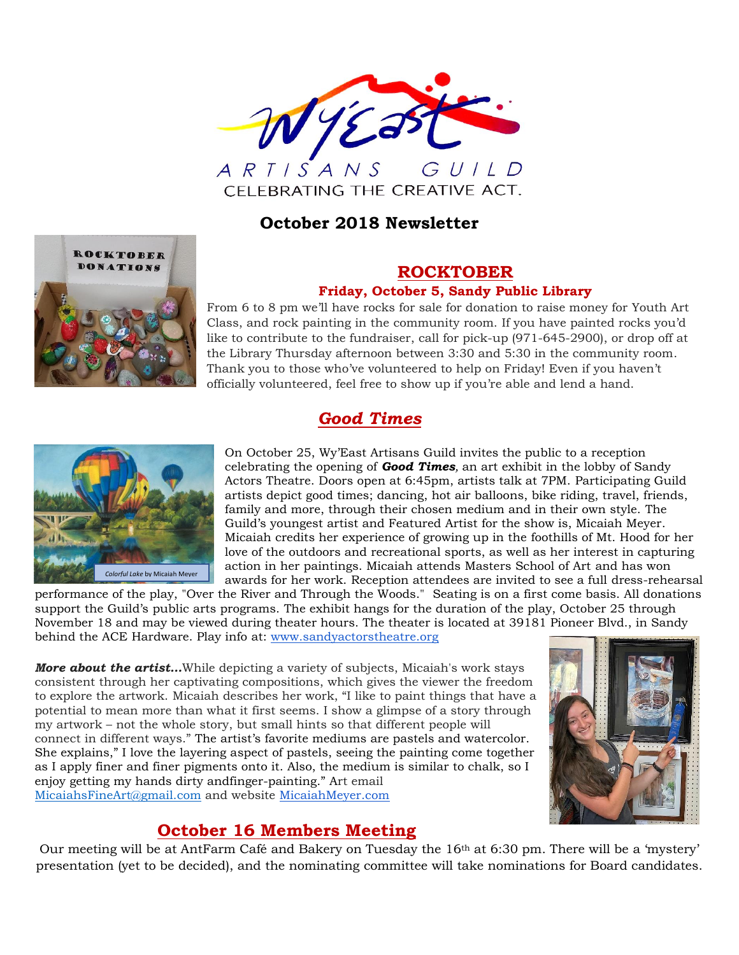

## **October 2018 Newsletter**



### **ROCKTOBER Friday, October 5, Sandy Public Library**

From 6 to 8 pm we'll have rocks for sale for donation to raise money for Youth Art Class, and rock painting in the community room. If you have painted rocks you'd like to contribute to the fundraiser, call for pick-up (971-645-2900), or drop off at the Library Thursday afternoon between 3:30 and 5:30 in the community room. Thank you to those who've volunteered to help on Friday! Even if you haven't officially volunteered, feel free to show up if you're able and lend a hand.

## *Good Times*



On October 25, Wy'East Artisans Guild invites the public to a reception celebrating the opening of *Good Times,* an art exhibit in the lobby of Sandy Actors Theatre. Doors open at 6:45pm, artists talk at 7PM. Participating Guild artists depict good times; dancing, hot air balloons, bike riding, travel, friends, family and more, through their chosen medium and in their own style. The Guild's youngest artist and Featured Artist for the show is, Micaiah Meyer. Micaiah credits her experience of growing up in the foothills of Mt. Hood for her love of the outdoors and recreational sports, as well as her interest in capturing action in her paintings. Micaiah attends Masters School of Art and has won awards for her work. Reception attendees are invited to see a full dress-rehearsal

performance of the play, "Over the River and Through the Woods." Seating is on a first come basis. All donations support the Guild's public arts programs. The exhibit hangs for the duration of the play, October 25 through November 18 and may be viewed during theater hours. The theater is located at 39181 Pioneer Blvd., in Sandy behind the ACE Hardware. Play info at: [www.sandyactorstheatre.org](http://www.sandyactorstheatre.org/)

*More about the artist…*While depicting a variety of subjects, Micaiah's work stays consistent through her captivating compositions, which gives the viewer the freedom to explore the artwork. Micaiah describes her work, "I like to paint things that have a potential to mean more than what it first seems. I show a glimpse of a story through my artwork – not the whole story, but small hints so that different people will connect in different ways." The artist's favorite mediums are pastels and watercolor. She explains," I love the layering aspect of pastels, seeing the painting come together as I apply finer and finer pigments onto it. Also, the medium is similar to chalk, so I enjoy getting my hands dirty andfinger-painting." Art email [MicaiahsFineArt@gmail.com](mailto:MicaiahsFineArt@gmail.com) and website [MicaiahMeyer.com](http://micaiahmeyer.com/)



### **October 16 Members Meeting**

Our meeting will be at AntFarm Café and Bakery on Tuesday the 16<sup>th</sup> at 6:30 pm. There will be a 'mystery' presentation (yet to be decided), and the nominating committee will take nominations for Board candidates.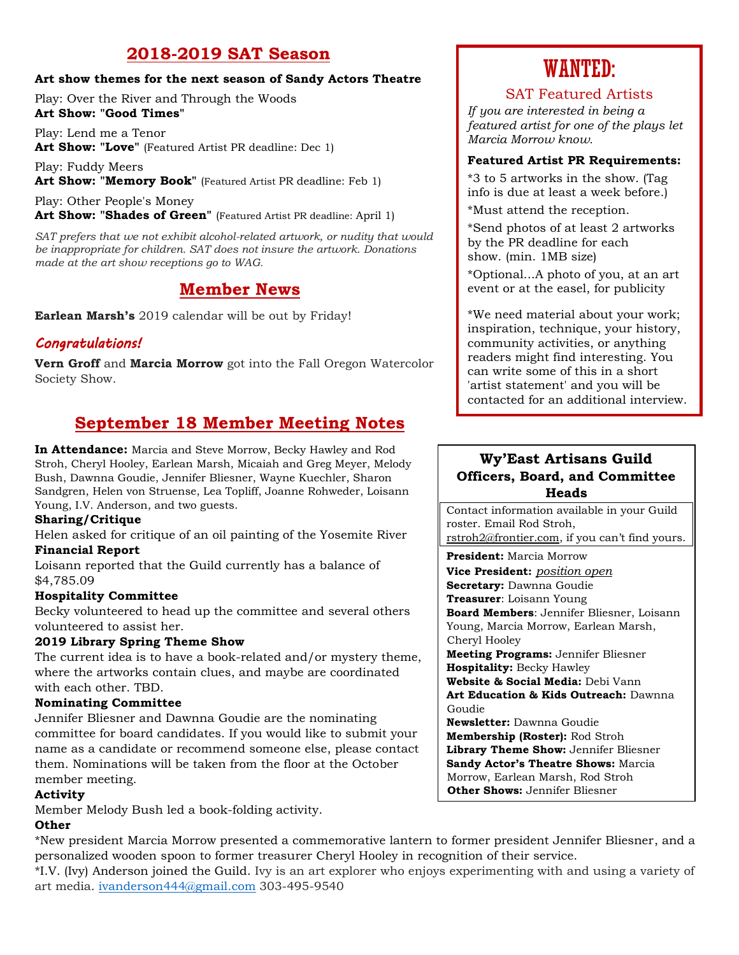## **2018-2019 SAT Season**

#### **Art show themes for the next season of Sandy Actors Theatre**

Play: Over the River and Through the Woods **Art Show: "Good Times"**

Play: Lend me a Tenor **Art Show: "Love"** (Featured Artist PR deadline: Dec 1)

Play: Fuddy Meers Art Show: "Memory Book" (Featured Artist PR deadline: Feb 1)

Play: Other People's Money Art Show: "Shades of Green" (Featured Artist PR deadline: April 1)

*SAT prefers that we not exhibit alcohol-related artwork, or nudity that would be inappropriate for children. SAT does not insure the artwork. Donations made at the art show receptions go to WAG.*

## **Member News**

**Earlean Marsh's** 2019 calendar will be out by Friday!

### *Congratulations!*

**Vern Groff** and **Marcia Morrow** got into the Fall Oregon Watercolor Society Show.

## **September 18 Member Meeting Notes**

**In Attendance:** Marcia and Steve Morrow, Becky Hawley and Rod Stroh, Cheryl Hooley, Earlean Marsh, Micaiah and Greg Meyer, Melody Bush, Dawnna Goudie, Jennifer Bliesner, Wayne Kuechler, Sharon Sandgren, Helen von Struense, Lea Topliff, Joanne Rohweder, Loisann Young, I.V. Anderson, and two guests.

#### **Sharing/Critique**

Helen asked for critique of an oil painting of the Yosemite River **Financial Report**

Loisann reported that the Guild currently has a balance of \$4,785.09

#### **Hospitality Committee**

Becky volunteered to head up the committee and several others volunteered to assist her.

#### **2019 Library Spring Theme Show**

The current idea is to have a book-related and/or mystery theme, where the artworks contain clues, and maybe are coordinated with each other. TBD.

#### **Nominating Committee**

Jennifer Bliesner and Dawnna Goudie are the nominating committee for board candidates. If you would like to submit your name as a candidate or recommend someone else, please contact them. Nominations will be taken from the floor at the October member meeting.

#### **Activity**

Member Melody Bush led a book-folding activity.

### **Other**

\*New president Marcia Morrow presented a commemorative lantern to former president Jennifer Bliesner, and a personalized wooden spoon to former treasurer Cheryl Hooley in recognition of their service.

\*I.V. (Ivy) Anderson joined the Guild. Ivy is an art explorer who enjoys experimenting with and using a variety of art media. [ivanderson444@gmail.com](mailto:ivanderson444@gmail.com) 303-495-9540

# WANTED:

### SAT Featured Artists

*If you are interested in being a featured artist for one of the plays let Marcia Morrow know.*

#### **Featured Artist PR Requirements:**

\*3 to 5 artworks in the show. (Tag info is due at least a week before.)

\*Must attend the reception.

\*Send photos of at least 2 artworks by the PR deadline for each show. (min. 1MB size)

\*Optional...A photo of you, at an art event or at the easel, for publicity

\*We need material about your work; inspiration, technique, your history, community activities, or anything readers might find interesting. You can write some of this in a short 'artist statement' and you will be contacted for an additional interview.

#### **Wy'East Artisans Guild Officers, Board, and Committee Heads**

Contact information available in your Guild roster. Email Rod Stroh,

[rstroh2@frontier.com](mailto:rstroh2@frontier.com), if you can't find yours.

**President:** Marcia Morrow

**Vice President:** *position open* **Secretary:** Dawnna Goudie **Treasurer**: Loisann Young **Board Members**: Jennifer Bliesner, Loisann Young, Marcia Morrow, Earlean Marsh, Cheryl Hooley

**Meeting Programs:** Jennifer Bliesner **Hospitality:** Becky Hawley **Website & Social Media:** Debi Vann **Art Education & Kids Outreach:** Dawnna Goudie

**Newsletter:** Dawnna Goudie **Membership (Roster):** Rod Stroh **Library Theme Show:** Jennifer Bliesner **Sandy Actor's Theatre Shows:** Marcia Morrow, Earlean Marsh, Rod Stroh **Other Shows:** Jennifer Bliesner